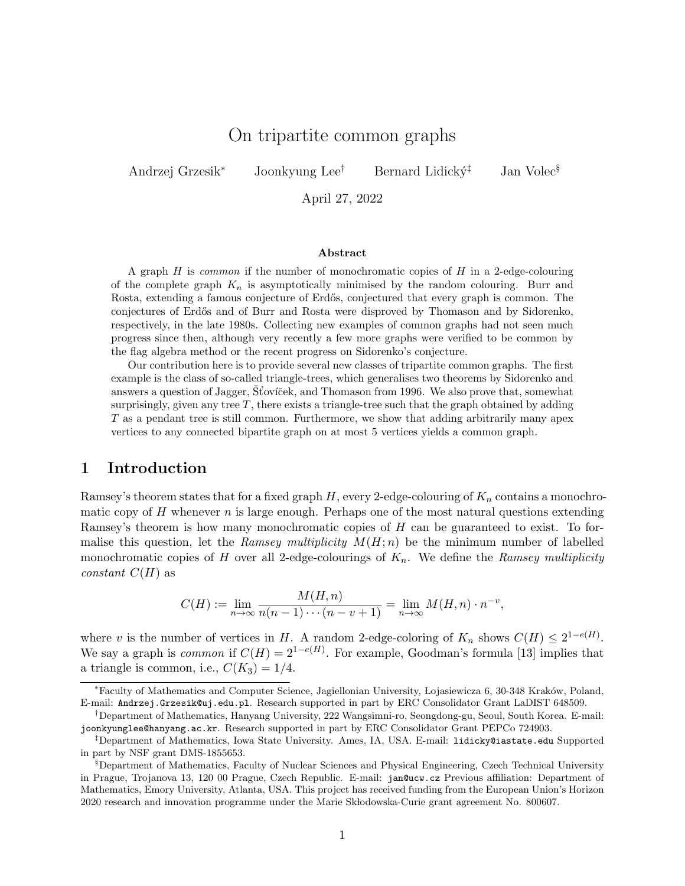# On tripartite common graphs

Andrzej Grzesik<sup>∗</sup> Joonkyung Lee<sup>†</sup> Bernard Lidický<sup>‡</sup> Jan Volec<sup>§</sup>

April 27, 2022

#### Abstract

A graph  $H$  is *common* if the number of monochromatic copies of  $H$  in a 2-edge-colouring of the complete graph  $K_n$  is asymptotically minimised by the random colouring. Burr and Rosta, extending a famous conjecture of Erdős, conjectured that every graph is common. The conjectures of Erdős and of Burr and Rosta were disproved by Thomason and by Sidorenko, respectively, in the late 1980s. Collecting new examples of common graphs had not seen much progress since then, although very recently a few more graphs were verified to be common by the flag algebra method or the recent progress on Sidorenko's conjecture.

Our contribution here is to provide several new classes of tripartite common graphs. The first example is the class of so-called triangle-trees, which generalises two theorems by Sidorenko and answers a question of Jagger, Stoviček, and Thomason from 1996. We also prove that, somewhat surprisingly, given any tree  $T$ , there exists a triangle-tree such that the graph obtained by adding T as a pendant tree is still common. Furthermore, we show that adding arbitrarily many apex vertices to any connected bipartite graph on at most 5 vertices yields a common graph.

#### 1 Introduction

Ramsey's theorem states that for a fixed graph  $H$ , every 2-edge-colouring of  $K_n$  contains a monochromatic copy of  $H$  whenever  $n$  is large enough. Perhaps one of the most natural questions extending Ramsey's theorem is how many monochromatic copies of H can be guaranteed to exist. To formalise this question, let the Ramsey multiplicity  $M(H; n)$  be the minimum number of labelled monochromatic copies of H over all 2-edge-colourings of  $K_n$ . We define the Ramsey multiplicity *constant*  $C(H)$  as

$$
C(H) := \lim_{n \to \infty} \frac{M(H, n)}{n(n-1)\cdots(n-v+1)} = \lim_{n \to \infty} M(H, n) \cdot n^{-v},
$$

where v is the number of vertices in H. A random 2-edge-coloring of  $K_n$  shows  $C(H) \leq 2^{1-e(H)}$ . We say a graph is *common* if  $C(H) = 2^{1-e(H)}$ . For example, Goodman's formula [\[13\]](#page-14-0) implies that a triangle is common, i.e.,  $C(K_3) = 1/4$ .

<sup>∗</sup>Faculty of Mathematics and Computer Science, Jagiellonian University, Lojasiewicza 6, 30-348 Krak´ow, Poland, E-mail: Andrzej.Grzesik@uj.edu.pl. Research supported in part by ERC Consolidator Grant LaDIST 648509.

<sup>†</sup>Department of Mathematics, Hanyang University, 222 Wangsimni-ro, Seongdong-gu, Seoul, South Korea. E-mail: joonkyunglee@hanyang.ac.kr. Research supported in part by ERC Consolidator Grant PEPCo 724903.

<sup>‡</sup>Department of Mathematics, Iowa State University. Ames, IA, USA. E-mail: lidicky@iastate.edu Supported in part by NSF grant DMS-1855653.

<sup>§</sup>Department of Mathematics, Faculty of Nuclear Sciences and Physical Engineering, Czech Technical University in Prague, Trojanova 13, 120 00 Prague, Czech Republic. E-mail: jan@ucw.cz Previous affiliation: Department of Mathematics, Emory University, Atlanta, USA. This project has received funding from the European Union's Horizon 2020 research and innovation programme under the Marie Sk lodowska-Curie grant agreement No. 800607.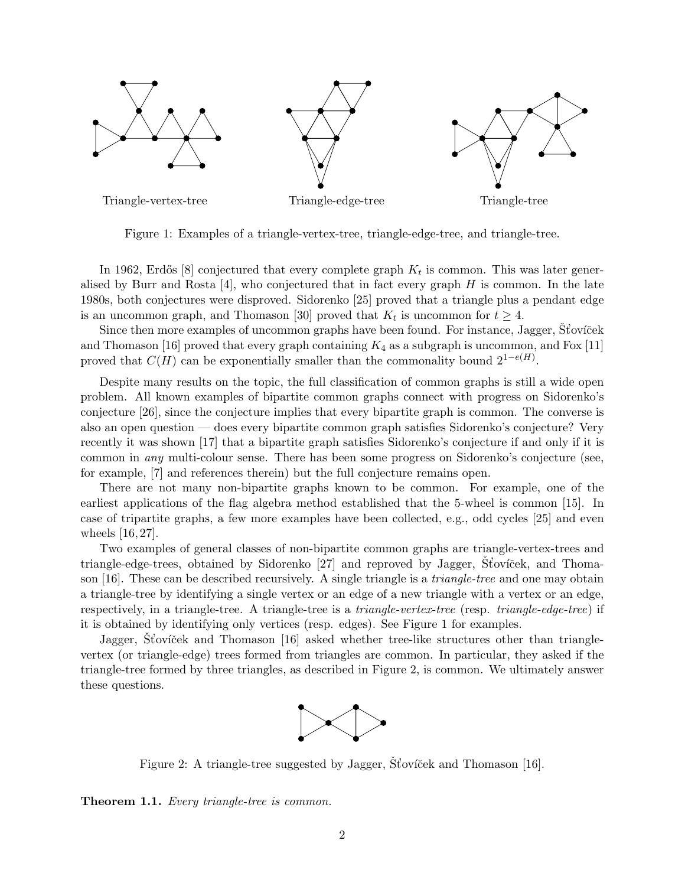

<span id="page-1-0"></span>Figure 1: Examples of a triangle-vertex-tree, triangle-edge-tree, and triangle-tree.

In 1962, Erdős [\[8\]](#page-14-1) conjectured that every complete graph  $K_t$  is common. This was later generalised by Burr and Rosta  $[4]$ , who conjectured that in fact every graph H is common. In the late 1980s, both conjectures were disproved. Sidorenko [\[25\]](#page-15-0) proved that a triangle plus a pendant edge is an uncommon graph, and Thomason [\[30\]](#page-15-1) proved that  $K_t$  is uncommon for  $t \geq 4$ .

Since then more examples of uncommon graphs have been found. For instance, Jagger, Stovicek and Thomason [\[16\]](#page-15-2) proved that every graph containing  $K_4$  as a subgraph is uncommon, and Fox [\[11\]](#page-14-3) proved that  $C(H)$  can be exponentially smaller than the commonality bound  $2^{1-e(H)}$ .

Despite many results on the topic, the full classification of common graphs is still a wide open problem. All known examples of bipartite common graphs connect with progress on Sidorenko's conjecture [\[26\]](#page-15-3), since the conjecture implies that every bipartite graph is common. The converse is also an open question — does every bipartite common graph satisfies Sidorenko's conjecture? Very recently it was shown [\[17\]](#page-15-4) that a bipartite graph satisfies Sidorenko's conjecture if and only if it is common in any multi-colour sense. There has been some progress on Sidorenko's conjecture (see, for example, [\[7\]](#page-14-4) and references therein) but the full conjecture remains open.

There are not many non-bipartite graphs known to be common. For example, one of the earliest applications of the flag algebra method established that the 5-wheel is common [\[15\]](#page-15-5). In case of tripartite graphs, a few more examples have been collected, e.g., odd cycles [\[25\]](#page-15-0) and even wheels [\[16,](#page-15-2) [27\]](#page-15-6).

Two examples of general classes of non-bipartite common graphs are triangle-vertex-trees and triangle-edge-trees, obtained by Sidorenko [\[27\]](#page-15-6) and reproved by Jagger, Stovíček, and Thoma-son [\[16\]](#page-15-2). These can be described recursively. A single triangle is a *triangle-tree* and one may obtain a triangle-tree by identifying a single vertex or an edge of a new triangle with a vertex or an edge, respectively, in a triangle-tree. A triangle-tree is a triangle-vertex-tree (resp. triangle-edge-tree) if it is obtained by identifying only vertices (resp. edges). See Figure [1](#page-1-0) for examples.

Jagger, Stoviček and Thomason [\[16\]](#page-15-2) asked whether tree-like structures other than trianglevertex (or triangle-edge) trees formed from triangles are common. In particular, they asked if the triangle-tree formed by three triangles, as described in Figure [2,](#page-1-1) is common. We ultimately answer these questions.



<span id="page-1-1"></span>Figure 2: A triangle-tree suggested by Jagger,  $\overline{S}$ toviček and Thomason [\[16\]](#page-15-2).

<span id="page-1-2"></span>Theorem 1.1. Every triangle-tree is common.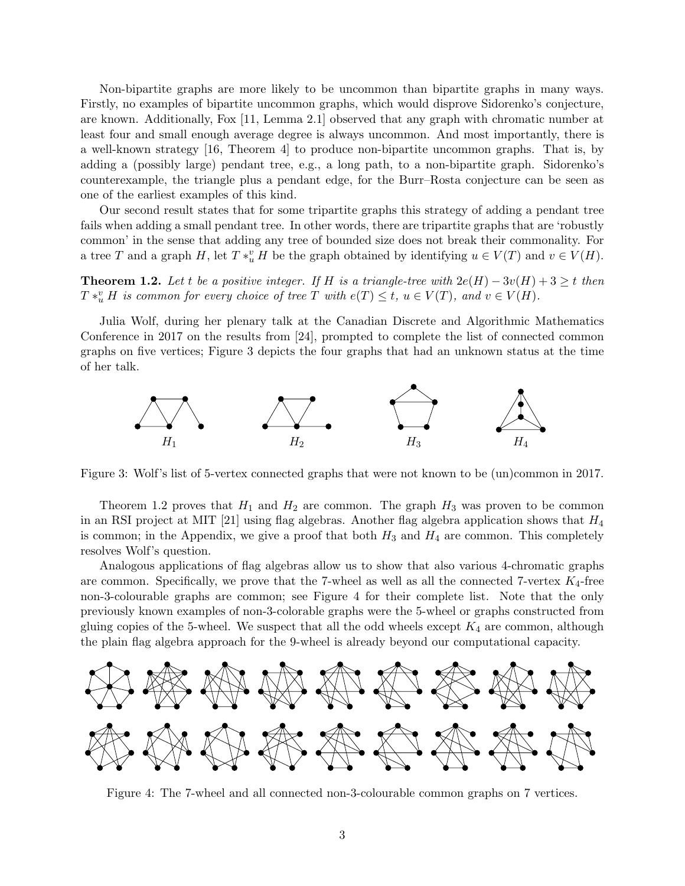Non-bipartite graphs are more likely to be uncommon than bipartite graphs in many ways. Firstly, no examples of bipartite uncommon graphs, which would disprove Sidorenko's conjecture, are known. Additionally, Fox [\[11,](#page-14-3) Lemma 2.1] observed that any graph with chromatic number at least four and small enough average degree is always uncommon. And most importantly, there is a well-known strategy [\[16,](#page-15-2) Theorem 4] to produce non-bipartite uncommon graphs. That is, by adding a (possibly large) pendant tree, e.g., a long path, to a non-bipartite graph. Sidorenko's counterexample, the triangle plus a pendant edge, for the Burr–Rosta conjecture can be seen as one of the earliest examples of this kind.

Our second result states that for some tripartite graphs this strategy of adding a pendant tree fails when adding a small pendant tree. In other words, there are tripartite graphs that are 'robustly common' in the sense that adding any tree of bounded size does not break their commonality. For a tree T and a graph H, let  $T * u$  H be the graph obtained by identifying  $u \in V(T)$  and  $v \in V(H)$ .

<span id="page-2-1"></span>**Theorem 1.2.** Let t be a positive integer. If H is a triangle-tree with  $2e(H) - 3v(H) + 3 \ge t$  then  $T *_{u}^{v} H$  is common for every choice of tree T with  $e(T) \leq t$ ,  $u \in V(T)$ , and  $v \in V(H)$ .

Julia Wolf, during her plenary talk at the Canadian Discrete and Algorithmic Mathematics Conference in 2017 on the results from [\[24\]](#page-15-7), prompted to complete the list of connected common graphs on five vertices; Figure [3](#page-2-0) depicts the four graphs that had an unknown status at the time of her talk.



<span id="page-2-0"></span>Figure 3: Wolf's list of 5-vertex connected graphs that were not known to be (un)common in 2017.

Theorem [1.2](#page-2-1) proves that  $H_1$  and  $H_2$  are common. The graph  $H_3$  was proven to be common in an RSI project at MIT [\[21\]](#page-15-8) using flag algebras. Another flag algebra application shows that  $H_4$ is common; in the Appendix, we give a proof that both  $H_3$  and  $H_4$  are common. This completely resolves Wolf's question.

Analogous applications of flag algebras allow us to show that also various 4-chromatic graphs are common. Specifically, we prove that the 7-wheel as well as all the connected 7-vertex  $K_4$ -free non-3-colourable graphs are common; see Figure [4](#page-2-2) for their complete list. Note that the only previously known examples of non-3-colorable graphs were the 5-wheel or graphs constructed from gluing copies of the 5-wheel. We suspect that all the odd wheels except  $K_4$  are common, although the plain flag algebra approach for the 9-wheel is already beyond our computational capacity.



<span id="page-2-2"></span>Figure 4: The 7-wheel and all connected non-3-colourable common graphs on 7 vertices.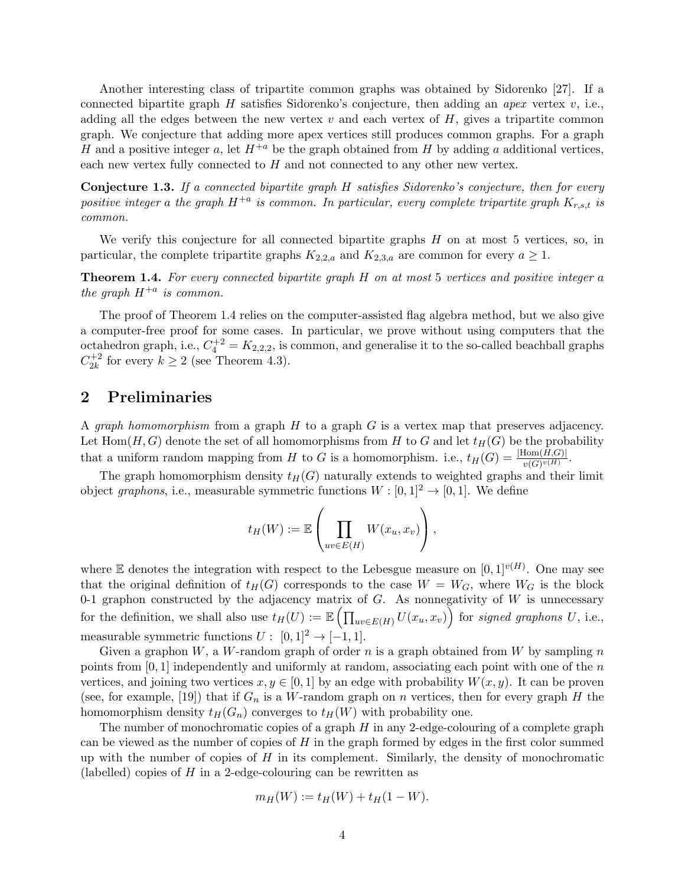Another interesting class of tripartite common graphs was obtained by Sidorenko [\[27\]](#page-15-6). If a connected bipartite graph  $H$  satisfies Sidorenko's conjecture, then adding an *apex* vertex  $v$ , i.e., adding all the edges between the new vertex  $v$  and each vertex of  $H$ , gives a tripartite common graph. We conjecture that adding more apex vertices still produces common graphs. For a graph H and a positive integer a, let  $H^{+a}$  be the graph obtained from H by adding a additional vertices, each new vertex fully connected to  $H$  and not connected to any other new vertex.

Conjecture 1.3. If a connected bipartite graph H satisfies Sidorenko's conjecture, then for every positive integer a the graph  $H^{+a}$  is common. In particular, every complete tripartite graph  $K_{r,s,t}$  is common.

We verify this conjecture for all connected bipartite graphs  $H$  on at most 5 vertices, so, in particular, the complete tripartite graphs  $K_{2,2,a}$  and  $K_{2,3,a}$  are common for every  $a \geq 1$ .

<span id="page-3-0"></span>Theorem 1.4. For every connected bipartite graph H on at most 5 vertices and positive integer a the graph  $H^{+a}$  is common.

The proof of Theorem [1.4](#page-3-0) relies on the computer-assisted flag algebra method, but we also give a computer-free proof for some cases. In particular, we prove without using computers that the octahedron graph, i.e.,  $C_4^{+2} = K_{2,2,2}$ , is common, and generalise it to the so-called beachball graphs  $C_{2k}^{+2}$  $\chi_{2k}^{+2}$  for every  $k \geq 2$  (see Theorem [4.3\)](#page-10-0).

## 2 Preliminaries

A *graph homomorphism* from a graph  $H$  to a graph  $G$  is a vertex map that preserves adjacency. Let Hom $(H, G)$  denote the set of all homomorphisms from H to G and let  $t_H(G)$  be the probability that a uniform random mapping from H to G is a homomorphism. i.e.,  $t_H(G) = \frac{|\text{Hom}(H,G)|}{v(G)^{v(H)}}$ .

The graph homomorphism density  $t_H(G)$  naturally extends to weighted graphs and their limit object graphons, i.e., measurable symmetric functions  $W : [0, 1]^2 \rightarrow [0, 1]$ . We define

$$
t_H(W) := \mathbb{E}\left(\prod_{uv \in E(H)} W(x_u, x_v)\right),\,
$$

where E denotes the integration with respect to the Lebesgue measure on  $[0,1]^{v(H)}$ . One may see that the original definition of  $t_H(G)$  corresponds to the case  $W = W_G$ , where  $W_G$  is the block 0-1 graphon constructed by the adjacency matrix of  $G$ . As nonnegativity of  $W$  is unnecessary for the definition, we shall also use  $t_H(U) := \mathbb{E} \left( \prod_{uv \in E(H)} U(x_u, x_v) \right)$  for signed graphons U, i.e., measurable symmetric functions  $U: [0, 1]^2 \rightarrow [-1, 1]$ .

Given a graphon  $W$ , a  $W$ -random graph of order n is a graph obtained from  $W$  by sampling n points from [0, 1] independently and uniformly at random, associating each point with one of the n vertices, and joining two vertices  $x, y \in [0, 1]$  by an edge with probability  $W(x, y)$ . It can be proven (see, for example, [\[19\]](#page-15-9)) that if  $G_n$  is a W-random graph on n vertices, then for every graph H the homomorphism density  $t_H(G_n)$  converges to  $t_H(W)$  with probability one.

The number of monochromatic copies of a graph  $H$  in any 2-edge-colouring of a complete graph can be viewed as the number of copies of  $H$  in the graph formed by edges in the first color summed up with the number of copies of  $H$  in its complement. Similarly, the density of monochromatic (labelled) copies of  $H$  in a 2-edge-colouring can be rewritten as

$$
m_H(W) := t_H(W) + t_H(1 - W).
$$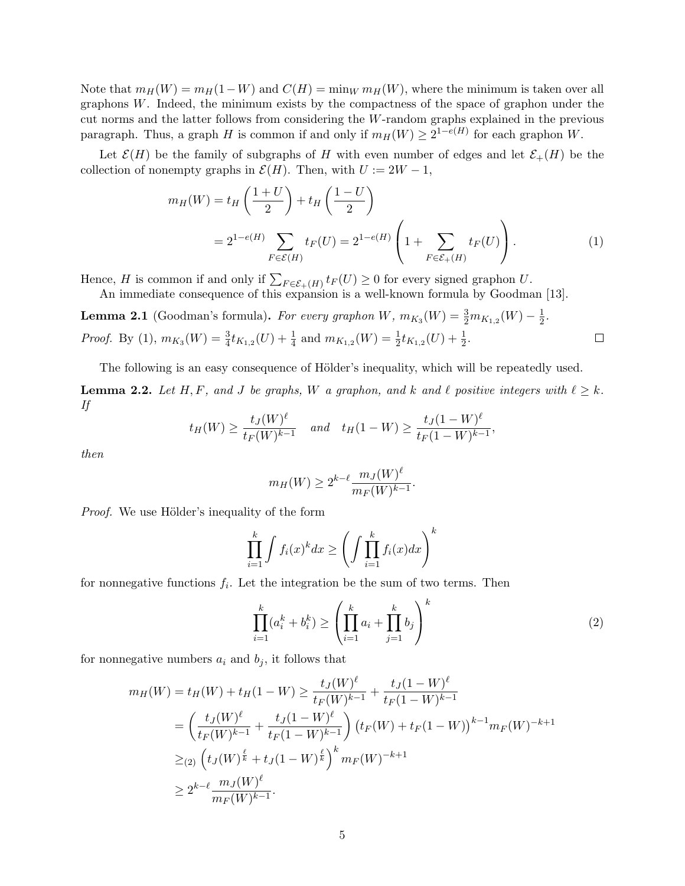Note that  $m_H(W) = m_H(1-W)$  and  $C(H) = \min_W m_H(W)$ , where the minimum is taken over all graphons W. Indeed, the minimum exists by the compactness of the space of graphon under the cut norms and the latter follows from considering the W-random graphs explained in the previous paragraph. Thus, a graph H is common if and only if  $m_H(W) \geq 2^{1-e(H)}$  for each graphon W.

Let  $\mathcal{E}(H)$  be the family of subgraphs of H with even number of edges and let  $\mathcal{E}_+(H)$  be the collection of nonempty graphs in  $\mathcal{E}(H)$ . Then, with  $U := 2W - 1$ ,

$$
m_H(W) = t_H\left(\frac{1+U}{2}\right) + t_H\left(\frac{1-U}{2}\right)
$$
  
=  $2^{1-e(H)}\sum_{F \in \mathcal{E}(H)} t_F(U) = 2^{1-e(H)}\left(1 + \sum_{F \in \mathcal{E}_+(H)} t_F(U)\right).$  (1)

Hence, H is common if and only if  $\sum_{F \in \mathcal{E}_+(H)} t_F(U) \geq 0$  for every signed graphon U.

An immediate consequence of this expansion is a well-known formula by Goodman [\[13\]](#page-14-0).

<span id="page-4-3"></span>**Lemma 2.1** (Goodman's formula). For every graphon W,  $m_{K_3}(W) = \frac{3}{2}m_{K_{1,2}}(W) - \frac{1}{2}$  $\frac{1}{2}$ . *Proof.* By [\(1\)](#page-4-0),  $m_{K_3}(W) = \frac{3}{4} t_{K_{1,2}}(U) + \frac{1}{4}$  and  $m_{K_{1,2}}(W) = \frac{1}{2} t_{K_{1,2}}(U) + \frac{1}{2}$ .  $\Box$ 

The following is an easy consequence of Hölder's inequality, which will be repeatedly used.

<span id="page-4-2"></span>**Lemma 2.2.** Let H, F, and J be graphs, W a graphon, and k and  $\ell$  positive integers with  $\ell \geq k$ . If

$$
t_H(W) \ge \frac{t_J(W)^{\ell}}{t_F(W)^{k-1}}
$$
 and  $t_H(1-W) \ge \frac{t_J(1-W)^{\ell}}{t_F(1-W)^{k-1}}$ ,

then

<span id="page-4-0"></span>
$$
m_H(W) \ge 2^{k-\ell} \frac{m_J(W)^{\ell}}{m_F(W)^{k-1}}.
$$

*Proof.* We use Hölder's inequality of the form

$$
\prod_{i=1}^{k} \int f_i(x)^k dx \ge \left( \int \prod_{i=1}^{k} f_i(x) dx \right)^k
$$

for nonnegative functions  $f_i$ . Let the integration be the sum of two terms. Then

<span id="page-4-1"></span>
$$
\prod_{i=1}^{k} (a_i^k + b_i^k) \ge \left(\prod_{i=1}^{k} a_i + \prod_{j=1}^{k} b_j\right)^k
$$
\n(2)

for nonnegative numbers  $a_i$  and  $b_j$ , it follows that

$$
m_H(W) = t_H(W) + t_H(1 - W) \ge \frac{t_J(W)^{\ell}}{t_F(W)^{k-1}} + \frac{t_J(1 - W)^{\ell}}{t_F(1 - W)^{k-1}}
$$
  
= 
$$
\left(\frac{t_J(W)^{\ell}}{t_F(W)^{k-1}} + \frac{t_J(1 - W)^{\ell}}{t_F(1 - W)^{k-1}}\right) \left(t_F(W) + t_F(1 - W)\right)^{k-1} m_F(W)^{-k+1}
$$
  

$$
\geq 2 \left(t_J(W)^{\frac{\ell}{k}} + t_J(1 - W)^{\frac{\ell}{k}}\right)^k m_F(W)^{-k+1}
$$
  

$$
\geq 2^{k-\ell} \frac{m_J(W)^{\ell}}{m_F(W)^{k-1}}.
$$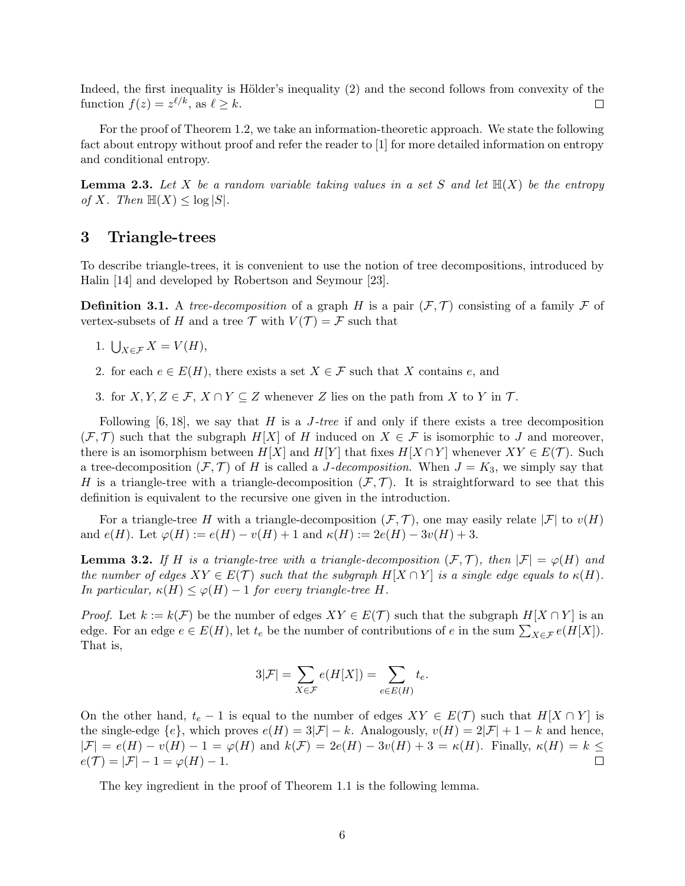Indeed, the first inequality is Hölder's inequality [\(2\)](#page-4-1) and the second follows from convexity of the function  $f(z) = z^{\ell/k}$ , as  $\ell \geq k$ .  $\Box$ 

For the proof of Theorem [1.2,](#page-2-1) we take an information-theoretic approach. We state the following fact about entropy without proof and refer the reader to [\[1\]](#page-14-5) for more detailed information on entropy and conditional entropy.

<span id="page-5-1"></span>**Lemma 2.3.** Let X be a random variable taking values in a set S and let  $\mathbb{H}(X)$  be the entropy of X. Then  $\mathbb{H}(X) \leq \log |S|$ .

#### 3 Triangle-trees

To describe triangle-trees, it is convenient to use the notion of tree decompositions, introduced by Halin [\[14\]](#page-14-6) and developed by Robertson and Seymour [\[23\]](#page-15-10).

**Definition 3.1.** A tree-decomposition of a graph H is a pair  $(F, \mathcal{T})$  consisting of a family F of vertex-subsets of H and a tree  $\mathcal T$  with  $V(\mathcal T) = \mathcal F$  such that

- 1.  $\bigcup_{X \in \mathcal{F}} X = V(H),$
- 2. for each  $e \in E(H)$ , there exists a set  $X \in \mathcal{F}$  such that X contains e, and
- 3. for  $X, Y, Z \in \mathcal{F}, X \cap Y \subseteq Z$  whenever Z lies on the path from X to Y in T.

Following  $[6, 18]$  $[6, 18]$ , we say that H is a J-tree if and only if there exists a tree decomposition  $(\mathcal{F}, \mathcal{T})$  such that the subgraph  $H[X]$  of H induced on  $X \in \mathcal{F}$  is isomorphic to J and moreover, there is an isomorphism between  $H[X]$  and  $H[Y]$  that fixes  $H[X \cap Y]$  whenever  $XY \in E(\mathcal{T})$ . Such a tree-decomposition  $(F, \mathcal{T})$  of H is called a J-decomposition. When  $J = K_3$ , we simply say that H is a triangle-tree with a triangle-decomposition  $(F, \mathcal{T})$ . It is straightforward to see that this definition is equivalent to the recursive one given in the introduction.

For a triangle-tree H with a triangle-decomposition  $(\mathcal{F}, \mathcal{T})$ , one may easily relate  $|\mathcal{F}|$  to  $v(H)$ and  $e(H)$ . Let  $\varphi(H) := e(H) - v(H) + 1$  and  $\kappa(H) := 2e(H) - 3v(H) + 3$ .

<span id="page-5-0"></span>**Lemma 3.2.** If H is a triangle-tree with a triangle-decomposition  $(\mathcal{F}, \mathcal{T})$ , then  $|\mathcal{F}| = \varphi(H)$  and the number of edges  $XY \in E(\mathcal{T})$  such that the subgraph  $H[X \cap Y]$  is a single edge equals to  $\kappa(H)$ . In particular,  $\kappa(H) \leq \varphi(H) - 1$  for every triangle-tree H.

*Proof.* Let  $k := k(\mathcal{F})$  be the number of edges  $XY \in E(\mathcal{T})$  such that the subgraph  $H[X \cap Y]$  is an edge. For an edge  $e \in E(H)$ , let  $t_e$  be the number of contributions of  $e$  in the sum  $\sum_{X \in \mathcal{F}} e(H[X])$ . That is,

$$
3|\mathcal{F}| = \sum_{X \in \mathcal{F}} e(H[X]) = \sum_{e \in E(H)} t_e.
$$

On the other hand,  $t_e - 1$  is equal to the number of edges  $XY \in E(\mathcal{T})$  such that  $H[X \cap Y]$  is the single-edge  $\{e\}$ , which proves  $e(H) = 3|\mathcal{F}| - k$ . Analogously,  $v(H) = 2|\mathcal{F}| + 1 - k$  and hence,  $|\mathcal{F}| = e(H) - v(H) - 1 = \varphi(H)$  and  $k(\mathcal{F}) = 2e(H) - 3v(H) + 3 = \kappa(H)$ . Finally,  $\kappa(H) = k \le$  $e(\mathcal{T}) = |\mathcal{F}| - 1 = \varphi(H) - 1.$  $\Box$ 

The key ingredient in the proof of Theorem [1.1](#page-1-2) is the following lemma.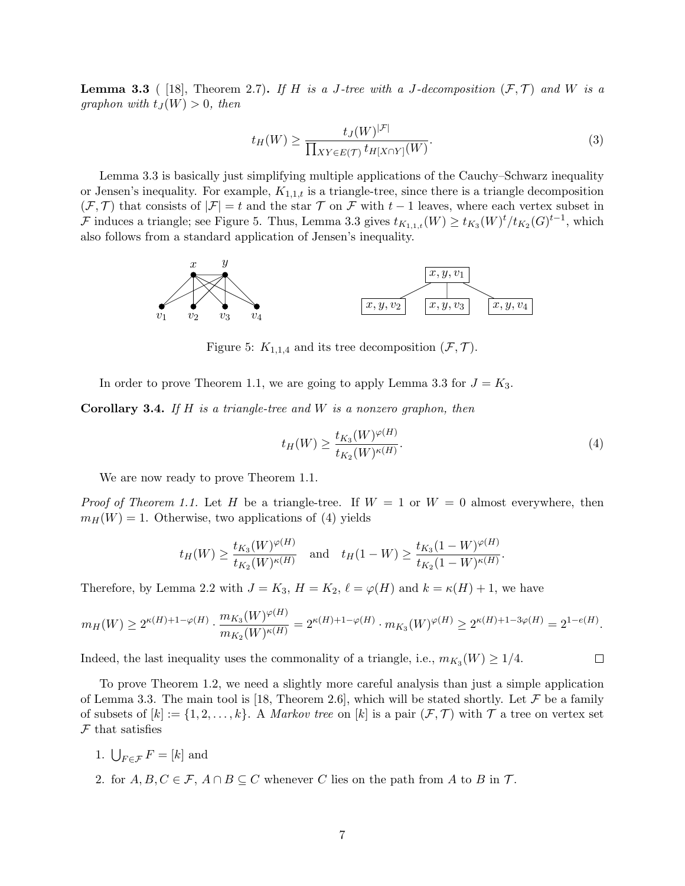<span id="page-6-0"></span>**Lemma 3.3** ( [\[18\]](#page-15-11), Theorem 2.7). If H is a J-tree with a J-decomposition  $(F, \mathcal{T})$  and W is a graphon with  $t_J(W) > 0$ , then

<span id="page-6-3"></span>
$$
t_H(W) \ge \frac{t_J(W)^{|\mathcal{F}|}}{\prod_{XY \in E(\mathcal{T})} t_{H[X \cap Y]}(W)}.
$$
\n(3)

Lemma [3.3](#page-6-0) is basically just simplifying multiple applications of the Cauchy–Schwarz inequality or Jensen's inequality. For example,  $K_{1,1,t}$  is a triangle-tree, since there is a triangle decomposition  $(\mathcal{F}, \mathcal{T})$  that consists of  $|\mathcal{F}| = t$  and the star  $\mathcal{T}$  on  $\mathcal{F}$  with  $t - 1$  leaves, where each vertex subset in F induces a triangle; see Figure [5.](#page-6-1) Thus, Lemma [3.3](#page-6-0) gives  $t_{K_{1,1,t}}(W) \ge t_{K_3}(W)^t/t_{K_2}(G)^{t-1}$ , which also follows from a standard application of Jensen's inequality.



<span id="page-6-1"></span>Figure 5:  $K_{1,1,4}$  and its tree decomposition  $(\mathcal{F}, \mathcal{T})$ .

In order to prove Theorem [1.1,](#page-1-2) we are going to apply Lemma [3.3](#page-6-0) for  $J = K_3$ .

**Corollary 3.4.** If H is a triangle-tree and W is a nonzero graphon, then

$$
t_H(W) \ge \frac{t_{K_3}(W)^{\varphi(H)}}{t_{K_2}(W)^{\kappa(H)}}.\tag{4}
$$

<span id="page-6-2"></span> $\Box$ 

We are now ready to prove Theorem [1.1.](#page-1-2)

*Proof of Theorem [1.1.](#page-1-2)* Let H be a triangle-tree. If  $W = 1$  or  $W = 0$  almost everywhere, then  $m_H(W) = 1$ . Otherwise, two applications of [\(4\)](#page-6-2) yields

$$
t_H(W) \ge \frac{t_{K_3}(W)^{\varphi(H)}}{t_{K_2}(W)^{\kappa(H)}} \text{ and } t_H(1-W) \ge \frac{t_{K_3}(1-W)^{\varphi(H)}}{t_{K_2}(1-W)^{\kappa(H)}}.
$$

Therefore, by Lemma [2.2](#page-4-2) with  $J = K_3$ ,  $H = K_2$ ,  $\ell = \varphi(H)$  and  $k = \kappa(H) + 1$ , we have

$$
m_H(W) \ge 2^{\kappa(H) + 1 - \varphi(H)} \cdot \frac{m_{K_3}(W)^{\varphi(H)}}{m_{K_2}(W)^{\kappa(H)}} = 2^{\kappa(H) + 1 - \varphi(H)} \cdot m_{K_3}(W)^{\varphi(H)} \ge 2^{\kappa(H) + 1 - 3\varphi(H)} = 2^{1 - e(H)}.
$$

Indeed, the last inequality uses the commonality of a triangle, i.e.,  $m_{K_3}(W) \geq 1/4$ .

To prove Theorem [1.2,](#page-2-1) we need a slightly more careful analysis than just a simple application of Lemma [3.3.](#page-6-0) The main tool is [\[18,](#page-15-11) Theorem 2.6], which will be stated shortly. Let  $\mathcal F$  be a family of subsets of  $[k] := \{1, 2, \ldots, k\}$ . A *Markov tree* on  $[k]$  is a pair  $(\mathcal{F}, \mathcal{T})$  with  $\mathcal{T}$  a tree on vertex set  $F$  that satisfies

- 1.  $\bigcup_{F \in \mathcal{F}} F = [k]$  and
- 2. for  $A, B, C \in \mathcal{F}, A \cap B \subseteq C$  whenever C lies on the path from A to B in T.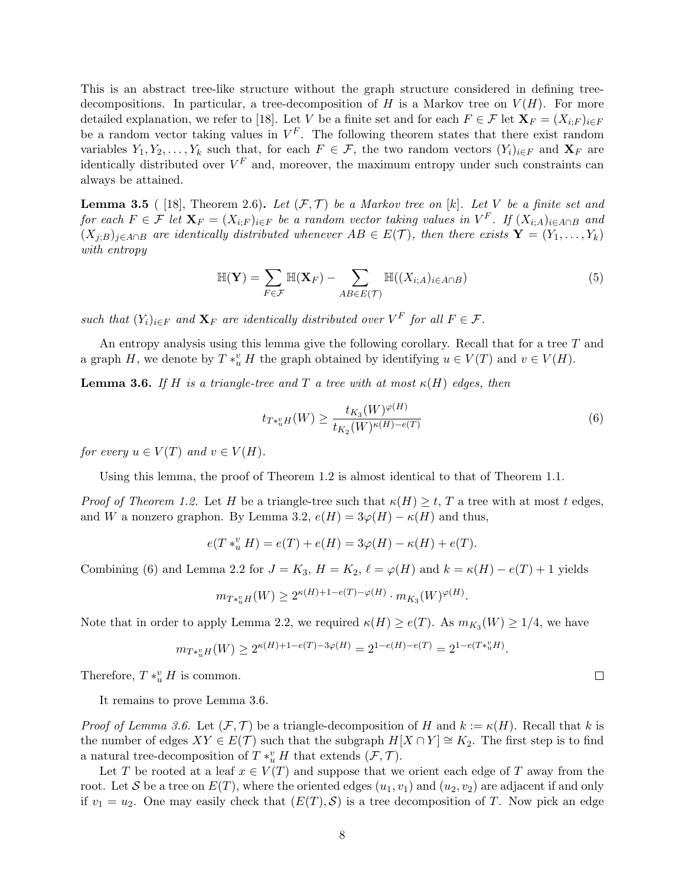This is an abstract tree-like structure without the graph structure considered in defining treedecompositions. In particular, a tree-decomposition of H is a Markov tree on  $V(H)$ . For more detailed explanation, we refer to [\[18\]](#page-15-11). Let V be a finite set and for each  $F \in \mathcal{F}$  let  $\mathbf{X}_F = (X_{i:F})_{i\in F}$ be a random vector taking values in  $V^F$ . The following theorem states that there exist random variables  $Y_1, Y_2, \ldots, Y_k$  such that, for each  $F \in \mathcal{F}$ , the two random vectors  $(Y_i)_{i \in F}$  and  $\mathbf{X}_F$  are identically distributed over  $V^F$  and, moreover, the maximum entropy under such constraints can always be attained.

<span id="page-7-2"></span>**Lemma 3.5** ( [\[18\]](#page-15-11), Theorem 2.6). Let  $(\mathcal{F}, \mathcal{T})$  be a Markov tree on [k]. Let V be a finite set and for each  $F \in \mathcal{F}$  let  $\mathbf{X}_F = (X_{i;F})_{i \in F}$  be a random vector taking values in  $V^F$ . If  $(X_{i;A})_{i \in A \cap B}$  and  $(X_{j:B})_{j\in A\cap B}$  are identically distributed whenever  $AB \in E(\mathcal{T})$ , then there exists  $\mathbf{Y} = (Y_1, \ldots, Y_k)$ with entropy

$$
\mathbb{H}(\mathbf{Y}) = \sum_{F \in \mathcal{F}} \mathbb{H}(\mathbf{X}_F) - \sum_{AB \in E(\mathcal{T})} \mathbb{H}((X_{i;A})_{i \in A \cap B})
$$
(5)

such that  $(Y_i)_{i \in F}$  and  $\mathbf{X}_F$  are identically distributed over  $V^F$  for all  $F \in \mathcal{F}$ .

An entropy analysis using this lemma give the following corollary. Recall that for a tree T and a graph H, we denote by  $T * u$  H the graph obtained by identifying  $u \in V(T)$  and  $v \in V(H)$ .

<span id="page-7-1"></span>**Lemma 3.6.** If H is a triangle-tree and T a tree with at most  $\kappa(H)$  edges, then

$$
t_{T \ast_{u}^v H}(W) \ge \frac{t_{K_3}(W)^{\varphi(H)}}{t_{K_2}(W)^{\kappa(H)-e(T)}}
$$
(6)

for every  $u \in V(T)$  and  $v \in V(H)$ .

Using this lemma, the proof of Theorem [1.2](#page-2-1) is almost identical to that of Theorem [1.1.](#page-1-2)

*Proof of Theorem [1.2.](#page-2-1)* Let H be a triangle-tree such that  $\kappa(H) \geq t$ , T a tree with at most t edges, and W a nonzero graphon. By Lemma [3.2,](#page-5-0)  $e(H) = 3\varphi(H) - \kappa(H)$  and thus,

$$
e(T *^v_u H) = e(T) + e(H) = 3\varphi(H) - \kappa(H) + e(T).
$$

Combining [\(6\)](#page-7-0) and Lemma [2.2](#page-4-2) for  $J = K_3$ ,  $H = K_2$ ,  $\ell = \varphi(H)$  and  $k = \kappa(H) - e(T) + 1$  yields

$$
m_{T*_u H}(W) \ge 2^{\kappa(H) + 1 - e(T) - \varphi(H)} \cdot m_{K_3}(W)^{\varphi(H)}.
$$

Note that in order to apply Lemma [2.2,](#page-4-2) we required  $\kappa(H) \ge e(T)$ . As  $m_{K_3}(W) \ge 1/4$ , we have

$$
m_{T*_uH}(W) \geq 2^{\kappa(H)+1-e(T)-3\varphi(H)} = 2^{1-e(H)-e(T)} = 2^{1-e(T*_uH)}.
$$

Therefore,  $T *_{u}^{v} H$  is common.

It remains to prove Lemma [3.6.](#page-7-1)

*Proof of Lemma [3.6.](#page-7-1)* Let  $(\mathcal{F}, \mathcal{T})$  be a triangle-decomposition of H and  $k := \kappa(H)$ . Recall that k is the number of edges  $XY \in E(\mathcal{T})$  such that the subgraph  $H[X \cap Y] \cong K_2$ . The first step is to find a natural tree-decomposition of  $T * u$ <sup>u</sup> H that extends  $(\mathcal{F}, \mathcal{T})$ .

Let T be rooted at a leaf  $x \in V(T)$  and suppose that we orient each edge of T away from the root. Let S be a tree on  $E(T)$ , where the oriented edges  $(u_1, v_1)$  and  $(u_2, v_2)$  are adjacent if and only if  $v_1 = u_2$ . One may easily check that  $(E(T), S)$  is a tree decomposition of T. Now pick an edge

<span id="page-7-0"></span> $\Box$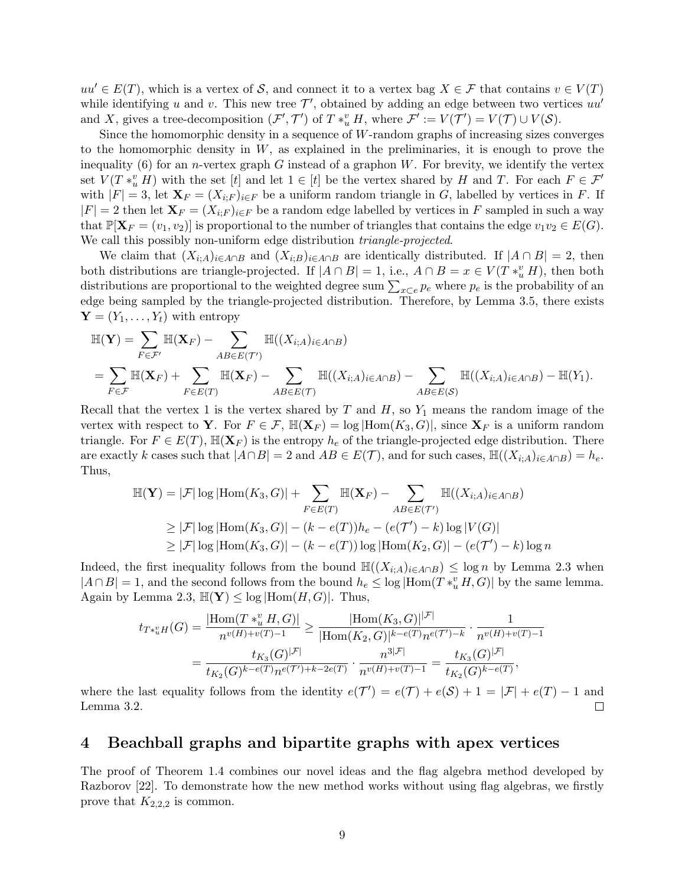$uu' \in E(T)$ , which is a vertex of S, and connect it to a vertex bag  $X \in \mathcal{F}$  that contains  $v \in V(T)$ while identifying u and v. This new tree  $\mathcal{T}'$ , obtained by adding an edge between two vertices  $uu'$ and X, gives a tree-decomposition  $(\mathcal{F}', \mathcal{T}')$  of  $T *_{u}^{v} H$ , where  $\mathcal{F}' := V(\mathcal{T}') = V(\mathcal{T}) \cup V(\mathcal{S})$ .

Since the homomorphic density in a sequence of W-random graphs of increasing sizes converges to the homomorphic density in  $W$ , as explained in the preliminaries, it is enough to prove the inequality [\(6\)](#page-7-0) for an *n*-vertex graph G instead of a graphon  $W$ . For brevity, we identify the vertex set  $V(T * u H)$  with the set [t] and let  $1 \in [t]$  be the vertex shared by H and T. For each  $F \in \mathcal{F}'$ with  $|F| = 3$ , let  $\mathbf{X}_F = (X_{i;F})_{i \in F}$  be a uniform random triangle in G, labelled by vertices in F. If  $|F| = 2$  then let  $\mathbf{X}_F = (X_{i;F})_{i \in F}$  be a random edge labelled by vertices in F sampled in such a way that  $\mathbb{P}[\mathbf{X}_F = (v_1, v_2)]$  is proportional to the number of triangles that contains the edge  $v_1v_2 \in E(G)$ . We call this possibly non-uniform edge distribution *triangle-projected*.

We claim that  $(X_{i;A})_{i\in A\cap B}$  and  $(X_{i;B})_{i\in A\cap B}$  are identically distributed. If  $|A\cap B|=2$ , then both distributions are triangle-projected. If  $|A \cap B| = 1$ , i.e.,  $A \cap B = x \in V(T *^v_u H)$ , then both distributions are proportional to the weighted degree sum  $\sum_{x\subset e} p_e$  where  $p_e$  is the probability of an edge being sampled by the triangle-projected distribution. Therefore, by Lemma [3.5,](#page-7-2) there exists  $\mathbf{Y} = (Y_1, \ldots, Y_t)$  with entropy

$$
\mathbb{H}(\mathbf{Y}) = \sum_{F \in \mathcal{F}'} \mathbb{H}(\mathbf{X}_F) - \sum_{AB \in E(\mathcal{T}')} \mathbb{H}((X_{i;A})_{i \in A \cap B})
$$
  
= 
$$
\sum_{F \in \mathcal{F}} \mathbb{H}(\mathbf{X}_F) + \sum_{F \in E(\mathcal{T})} \mathbb{H}(\mathbf{X}_F) - \sum_{AB \in E(\mathcal{T})} \mathbb{H}((X_{i;A})_{i \in A \cap B}) - \sum_{AB \in E(\mathcal{S})} \mathbb{H}((X_{i;A})_{i \in A \cap B}) - \mathbb{H}(Y_1).
$$

Recall that the vertex 1 is the vertex shared by  $T$  and  $H$ , so  $Y_1$  means the random image of the vertex with respect to Y. For  $F \in \mathcal{F}$ ,  $\mathbb{H}(\mathbf{X}_F) = \log|\text{Hom}(K_3, G)|$ , since  $\mathbf{X}_F$  is a uniform random triangle. For  $F \in E(T)$ ,  $\mathbb{H}(\mathbf{X}_F)$  is the entropy  $h_e$  of the triangle-projected edge distribution. There are exactly k cases such that  $|A \cap B| = 2$  and  $AB \in E(\mathcal{T})$ , and for such cases,  $\mathbb{H}((X_{i,A})_{i \in A \cap B}) = h_e$ . Thus,

$$
\mathbb{H}(\mathbf{Y}) = |\mathcal{F}| \log |\text{Hom}(K_3, G)| + \sum_{F \in E(T)} \mathbb{H}(\mathbf{X}_F) - \sum_{AB \in E(\mathcal{T}')} \mathbb{H}((X_{i;A})_{i \in A \cap B})
$$
  
\n
$$
\geq |\mathcal{F}| \log |\text{Hom}(K_3, G)| - (k - e(T))h_e - (e(\mathcal{T}') - k) \log |V(G)|
$$
  
\n
$$
\geq |\mathcal{F}| \log |\text{Hom}(K_3, G)| - (k - e(T)) \log |\text{Hom}(K_2, G)| - (e(\mathcal{T}') - k) \log n
$$

Indeed, the first inequality follows from the bound  $\mathbb{H}((X_{i;A})_{i\in A\cap B}) \leq \log n$  by Lemma [2.3](#page-5-1) when  $|A \cap B| = 1$ , and the second follows from the bound  $h_e \leq \log |\text{Hom}(T *^v_u H, G)|$  by the same lemma. Again by Lemma [2.3,](#page-5-1)  $\mathbb{H}(\mathbf{Y}) \leq \log |\text{Hom}(H, G)|$ . Thus,

$$
t_{T*_u^vH}(G) = \frac{|\text{Hom}(T *_u^v H, G)|}{n^{v(H)+v(T)-1}} \ge \frac{|\text{Hom}(K_3, G)|^{|\mathcal{F}|}}{|\text{Hom}(K_2, G)|^{k-e(T)} n^{e(T')-k}} \cdot \frac{1}{n^{v(H)+v(T)-1}}
$$

$$
= \frac{t_{K_3}(G)^{|\mathcal{F}|}}{t_{K_2}(G)^{k-e(T)} n^{e(T')+k-2e(T)}} \cdot \frac{n^{3|\mathcal{F}|}}{n^{v(H)+v(T)-1}} = \frac{t_{K_3}(G)^{|\mathcal{F}|}}{t_{K_2}(G)^{k-e(T)}},
$$

where the last equality follows from the identity  $e(\mathcal{T}') = e(\mathcal{T}) + e(\mathcal{S}) + 1 = |\mathcal{F}| + e(T) - 1$  and  $\Box$ Lemma [3.2.](#page-5-0)

#### 4 Beachball graphs and bipartite graphs with apex vertices

The proof of Theorem [1.4](#page-3-0) combines our novel ideas and the flag algebra method developed by Razborov [\[22\]](#page-15-12). To demonstrate how the new method works without using flag algebras, we firstly prove that  $K_{2,2,2}$  is common.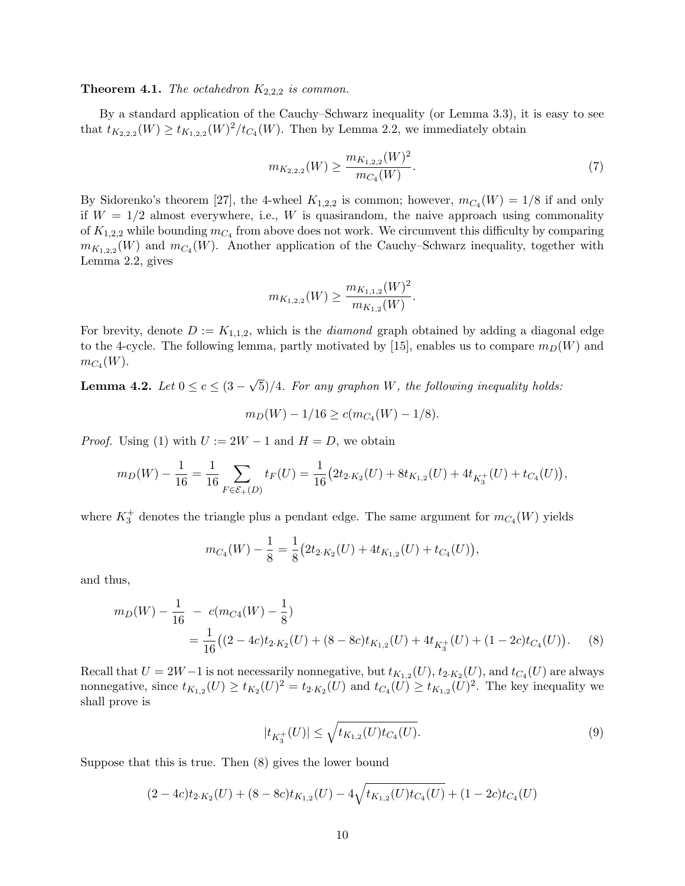#### <span id="page-9-2"></span>**Theorem 4.1.** The octahedron  $K_{2,2,2}$  is common.

By a standard application of the Cauchy–Schwarz inequality (or Lemma [3.3\)](#page-6-0), it is easy to see that  $t_{K_{2,2,2}}(W) \ge t_{K_{1,2,2}}(W)^2/t_{C_4}(W)$ . Then by Lemma [2.2,](#page-4-2) we immediately obtain

<span id="page-9-4"></span>
$$
m_{K_{2,2,2}}(W) \ge \frac{m_{K_{1,2,2}}(W)^2}{m_{C_4}(W)}.\tag{7}
$$

By Sidorenko's theorem [\[27\]](#page-15-6), the 4-wheel  $K_{1,2,2}$  is common; however,  $m_{C_4}(W) = 1/8$  if and only if  $W = 1/2$  almost everywhere, i.e., W is quasirandom, the naive approach using commonality of  $K_{1,2,2}$  while bounding  $m_{C_4}$  from above does not work. We circumvent this difficulty by comparing  $m_{K_{1,2,2}}(W)$  and  $m_{C_4}(W)$ . Another application of the Cauchy–Schwarz inequality, together with Lemma [2.2,](#page-4-2) gives

$$
m_{K_{1,2,2}}(W) \ge \frac{m_{K_{1,1,2}}(W)^2}{m_{K_{1,2}}(W)}.
$$

For brevity, denote  $D := K_{1,1,2}$ , which is the *diamond* graph obtained by adding a diagonal edge to the 4-cycle. The following lemma, partly motivated by [\[15\]](#page-15-5), enables us to compare  $m_D(W)$  and  $m_{C_4}(W)$ .

<span id="page-9-3"></span>Lemma 4.2.  $Let\ 0 \leq c \leq (3 -$ √ 5)/4. For any graphon W, the following inequality holds:

$$
m_D(W) - 1/16 \ge c(m_{C_4}(W) - 1/8).
$$

*Proof.* Using [\(1\)](#page-4-0) with  $U := 2W - 1$  and  $H = D$ , we obtain

$$
m_D(W) - \frac{1}{16} = \frac{1}{16} \sum_{F \in \mathcal{E}_+(D)} t_F(U) = \frac{1}{16} \left( 2t_{2 \cdot K_2}(U) + 8t_{K_{1,2}}(U) + 4t_{K_3^+}(U) + t_{C_4}(U) \right),
$$

where  $K_3^+$  denotes the triangle plus a pendant edge. The same argument for  $m_{C_4}(W)$  yields

$$
m_{C_4}(W) - \frac{1}{8} = \frac{1}{8} (2t_{2 \cdot K_2}(U) + 4t_{K_{1,2}}(U) + t_{C_4}(U)),
$$

and thus,

$$
m_D(W) - \frac{1}{16} - c(m_{C4}(W) - \frac{1}{8})
$$
  
= 
$$
\frac{1}{16}((2 - 4c)t_{2 \cdot K_2}(U) + (8 - 8c)t_{K_{1,2}}(U) + 4t_{K_3^+}(U) + (1 - 2c)t_{C_4}(U)).
$$
 (8)

Recall that  $U = 2W - 1$  is not necessarily nonnegative, but  $t_{K_{1,2}}(U)$ ,  $t_{2 \cdot K_2}(U)$ , and  $t_{C_4}(U)$  are always nonnegative, since  $t_{K_{1,2}}(U) \geq t_{K_2}(U)^2 = t_{2 \cdot K_2}(U)$  and  $t_{C_4}(U) \geq t_{K_{1,2}}(U)^2$ . The key inequality we shall prove is

<span id="page-9-1"></span><span id="page-9-0"></span>
$$
|t_{K_3^+}(U)| \le \sqrt{t_{K_{1,2}}(U)t_{C_4}(U)}.\tag{9}
$$

Suppose that this is true. Then [\(8\)](#page-9-0) gives the lower bound

$$
(2-4c)t_{2\cdot K_2}(U) + (8-8c)t_{K_{1,2}}(U) - 4\sqrt{t_{K_{1,2}}(U)t_{C_4}(U)} + (1-2c)t_{C_4}(U)
$$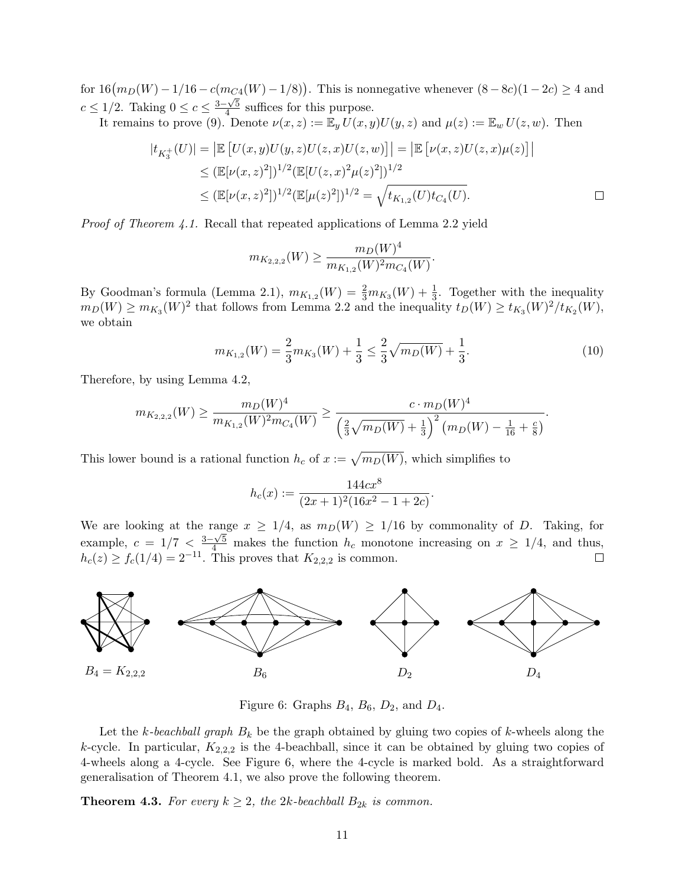for  $16(m_D(W) - 1/16 - c(m_{C4}(W) - 1/8))$ . This is nonnegative whenever  $(8-8c)(1-2c) \ge 4$  and  $c \leq 1/2$ . Taking  $0 \leq c \leq \frac{3-\sqrt{5}}{4}$  $\frac{4}{3}$  suffices for this purpose.

It remains to prove [\(9\)](#page-9-1). Denote  $\nu(x, z) := \mathbb{E}_y U(x, y) U(y, z)$  and  $\mu(z) := \mathbb{E}_w U(z, w)$ . Then

$$
|t_{K_3^+}(U)| = |\mathbb{E}\left[U(x,y)U(y,z)U(z,x)U(z,w)\right]| = |\mathbb{E}\left[\nu(x,z)U(z,x)\mu(z)\right]|
$$
  
\n
$$
\leq (\mathbb{E}[\nu(x,z)^2])^{1/2}(\mathbb{E}[U(z,x)^2\mu(z)^2])^{1/2}
$$
  
\n
$$
\leq (\mathbb{E}[\nu(x,z)^2])^{1/2}(\mathbb{E}[\mu(z)^2])^{1/2} = \sqrt{t_{K_{1,2}}(U)t_{C_4}(U)}.
$$

Proof of Theorem [4.1.](#page-9-2) Recall that repeated applications of Lemma [2.2](#page-4-2) yield

<span id="page-10-2"></span>
$$
m_{K_{2,2,2}}(W) \ge \frac{m_D(W)^4}{m_{K_{1,2}}(W)^2 m_{C_4}(W)}.
$$

By Goodman's formula (Lemma [2.1\)](#page-4-3),  $m_{K_{1,2}}(W) = \frac{2}{3}m_{K_3}(W) + \frac{1}{3}$ . Together with the inequality  $m_D(W) \geq m_{K_3}(W)^2$  that follows from Lemma [2.2](#page-4-2) and the inequality  $t_D(W) \geq t_{K_3}(W)^2/t_{K_2}(W)$ , we obtain

$$
m_{K_{1,2}}(W) = \frac{2}{3}m_{K_3}(W) + \frac{1}{3} \le \frac{2}{3}\sqrt{m_D(W)} + \frac{1}{3}.
$$
\n(10)

Therefore, by using Lemma [4.2,](#page-9-3)

$$
m_{K_{2,2,2}}(W) \ge \frac{m_D(W)^4}{m_{K_{1,2}}(W)^2 m_{C_4}(W)} \ge \frac{c \cdot m_D(W)^4}{\left(\frac{2}{3}\sqrt{m_D(W)} + \frac{1}{3}\right)^2 \left(m_D(W) - \frac{1}{16} + \frac{c}{8}\right)}.
$$

This lower bound is a rational function  $h_c$  of  $x := \sqrt{m_D(W)}$ , which simplifies to

$$
h_c(x) := \frac{144cx^8}{(2x+1)^2(16x^2-1+2c)}.
$$

We are looking at the range  $x \geq 1/4$ , as  $m_D(W) \geq 1/16$  by commonality of D. Taking, for example,  $c = 1/7 < \frac{3-\sqrt{5}}{4}$  makes the function  $h_c$  monotone increasing on  $x \ge 1/4$ , and thus,  $h_c(z) \ge f_c(1/4) = 2^{-11}$ . This proves that  $K_{2,2,2}$  is common.



<span id="page-10-1"></span>Figure 6: Graphs  $B_4$ ,  $B_6$ ,  $D_2$ , and  $D_4$ .

Let the k-beachball graph  $B_k$  be the graph obtained by gluing two copies of k-wheels along the k-cycle. In particular,  $K_{2,2,2}$  is the 4-beachball, since it can be obtained by gluing two copies of 4-wheels along a 4-cycle. See Figure [6,](#page-10-1) where the 4-cycle is marked bold. As a straightforward generalisation of Theorem [4.1,](#page-9-2) we also prove the following theorem.

<span id="page-10-0"></span>**Theorem 4.3.** For every  $k \geq 2$ , the 2k-beachball  $B_{2k}$  is common.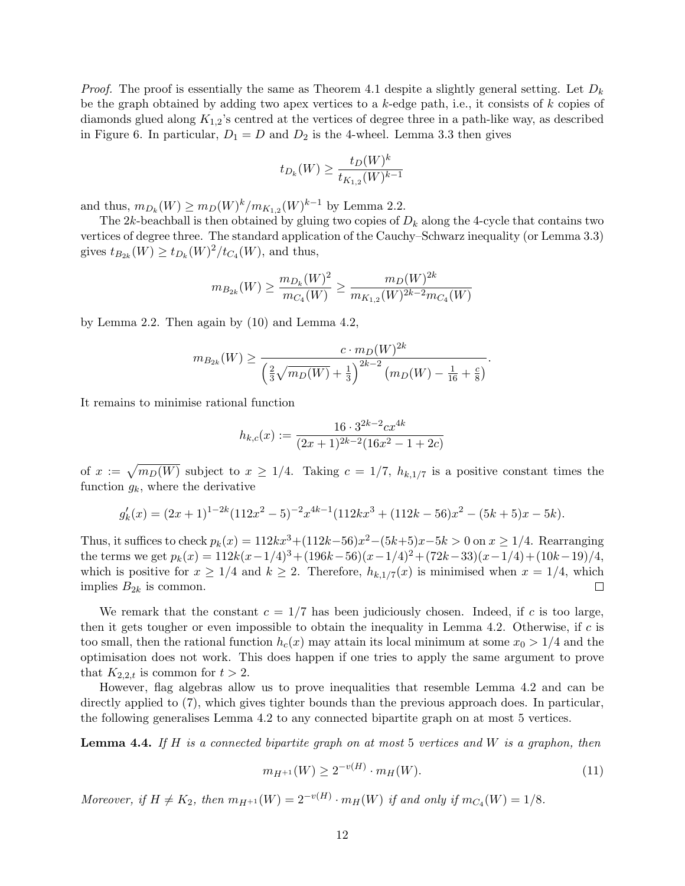*Proof.* The proof is essentially the same as Theorem [4.1](#page-9-2) despite a slightly general setting. Let  $D_k$ be the graph obtained by adding two apex vertices to a  $k$ -edge path, i.e., it consists of  $k$  copies of diamonds glued along  $K_{1,2}$ 's centred at the vertices of degree three in a path-like way, as described in Figure [6.](#page-10-1) In particular,  $D_1 = D$  and  $D_2$  is the 4-wheel. Lemma [3.3](#page-6-0) then gives

$$
t_{D_k}(W) \ge \frac{t_D(W)^k}{t_{K_{1,2}}(W)^{k-1}}
$$

and thus,  $m_{D_k}(W) \ge m_D(W)^k / m_{K_{1,2}}(W)^{k-1}$  by Lemma [2.2.](#page-4-2)

The  $2k$ -beachball is then obtained by gluing two copies of  $D_k$  along the 4-cycle that contains two vertices of degree three. The standard application of the Cauchy–Schwarz inequality (or Lemma [3.3\)](#page-6-0) gives  $t_{B_{2k}}(W) \ge t_{D_k}(W)^2/t_{C_4}(W)$ , and thus,

$$
m_{B_{2k}}(W) \ge \frac{m_{D_k}(W)^2}{m_{C_4}(W)} \ge \frac{m_D(W)^{2k}}{m_{K_{1,2}}(W)^{2k-2}m_{C_4}(W)}
$$

by Lemma [2.2.](#page-4-2) Then again by [\(10\)](#page-10-2) and Lemma [4.2,](#page-9-3)

$$
m_{B_{2k}}(W) \ge \frac{c \cdot m_D(W)^{2k}}{\left(\frac{2}{3}\sqrt{m_D(W)} + \frac{1}{3}\right)^{2k-2} \left(m_D(W) - \frac{1}{16} + \frac{c}{8}\right)}.
$$

It remains to minimise rational function

$$
h_{k,c}(x) := \frac{16 \cdot 3^{2k-2} c x^{4k}}{(2x+1)^{2k-2} (16x^2 - 1 + 2c)}
$$

of  $x := \sqrt{m_D(W)}$  subject to  $x \ge 1/4$ . Taking  $c = 1/7$ ,  $h_{k,1/7}$  is a positive constant times the function  $q_k$ , where the derivative

$$
g'_k(x) = (2x+1)^{1-2k}(112x^2-5)^{-2}x^{4k-1}(112kx^3+(112k-56)x^2-(5k+5)x-5k).
$$

Thus, it suffices to check  $p_k(x) = 112kx^3 + (112k-56)x^2 - (5k+5)x - 5k > 0$  on  $x \ge 1/4$ . Rearranging the terms we get  $p_k(x) = 112k(x-1/4)^3 + (196k-56)(x-1/4)^2 + (72k-33)(x-1/4) + (10k-19)/4$ , which is positive for  $x \geq 1/4$  and  $k \geq 2$ . Therefore,  $h_{k,1/7}(x)$  is minimised when  $x = 1/4$ , which implies  $B_{2k}$  is common.  $\Box$ 

We remark that the constant  $c = 1/7$  has been judiciously chosen. Indeed, if c is too large, then it gets tougher or even impossible to obtain the inequality in Lemma [4.2.](#page-9-3) Otherwise, if  $c$  is too small, then the rational function  $h_c(x)$  may attain its local minimum at some  $x_0 > 1/4$  and the optimisation does not work. This does happen if one tries to apply the same argument to prove that  $K_{2,2,t}$  is common for  $t > 2$ .

However, flag algebras allow us to prove inequalities that resemble Lemma [4.2](#page-9-3) and can be directly applied to [\(7\)](#page-9-4), which gives tighter bounds than the previous approach does. In particular, the following generalises Lemma [4.2](#page-9-3) to any connected bipartite graph on at most 5 vertices.

<span id="page-11-0"></span>**Lemma 4.4.** If H is a connected bipartite graph on at most 5 vertices and W is a graphon, then

<span id="page-11-1"></span>
$$
m_{H^{+1}}(W) \ge 2^{-v(H)} \cdot m_H(W). \tag{11}
$$

Moreover, if  $H \neq K_2$ , then  $m_{H^{+1}}(W) = 2^{-v(H)} \cdot m_H(W)$  if and only if  $m_{C_4}(W) = 1/8$ .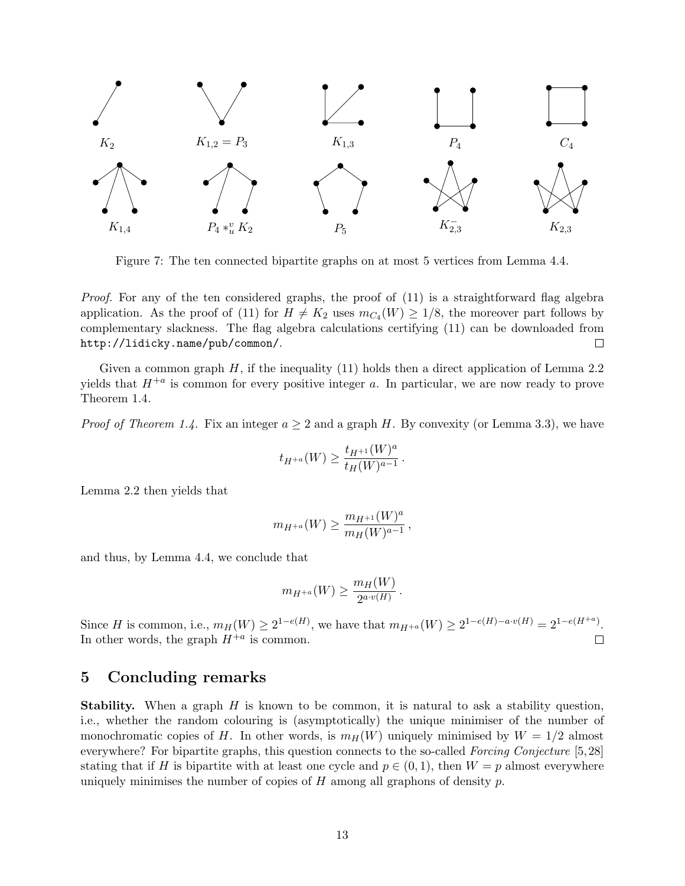

Figure 7: The ten connected bipartite graphs on at most 5 vertices from Lemma [4.4.](#page-11-0)

Proof. For any of the ten considered graphs, the proof of [\(11\)](#page-11-1) is a straightforward flag algebra application. As the proof of [\(11\)](#page-11-1) for  $H \neq K_2$  uses  $m_{C_4}(W) \geq 1/8$ , the moreover part follows by complementary slackness. The flag algebra calculations certifying [\(11\)](#page-11-1) can be downloaded from <http://lidicky.name/pub/common/>.  $\Box$ 

Given a common graph  $H$ , if the inequality [\(11\)](#page-11-1) holds then a direct application of Lemma [2.2](#page-4-2) yields that  $H^{+a}$  is common for every positive integer a. In particular, we are now ready to prove Theorem [1.4.](#page-3-0)

*Proof of Theorem [1.4.](#page-3-0)* Fix an integer  $a \geq 2$  and a graph H. By convexity (or Lemma [3.3\)](#page-6-0), we have

$$
t_{H^{+a}}(W) \ge \frac{t_{H^{+1}}(W)^a}{t_H(W)^{a-1}}.
$$

Lemma [2.2](#page-4-2) then yields that

$$
m_{H^{+a}}(W) \ge \frac{m_{H^{+1}}(W)^a}{m_H(W)^{a-1}},
$$

and thus, by Lemma [4.4,](#page-11-0) we conclude that

$$
m_{H^{+a}}(W) \ge \frac{m_H(W)}{2^{a \cdot v(H)}}.
$$

Since H is common, i.e.,  $m_H(W) \ge 2^{1-e(H)}$ , we have that  $m_{H^{+a}}(W) \ge 2^{1-e(H)-a\cdot v(H)} = 2^{1-e(H^{+a})}$ . In other words, the graph  $H^{+a}$  is common.  $\Box$ 

#### 5 Concluding remarks

**Stability.** When a graph  $H$  is known to be common, it is natural to ask a stability question, i.e., whether the random colouring is (asymptotically) the unique minimiser of the number of monochromatic copies of H. In other words, is  $m_H(W)$  uniquely minimised by  $W = 1/2$  almost everywhere? For bipartite graphs, this question connects to the so-called Forcing Conjecture [\[5,](#page-14-8)[28\]](#page-15-13) stating that if H is bipartite with at least one cycle and  $p \in (0,1)$ , then  $W = p$  almost everywhere uniquely minimises the number of copies of  $H$  among all graphons of density  $p$ .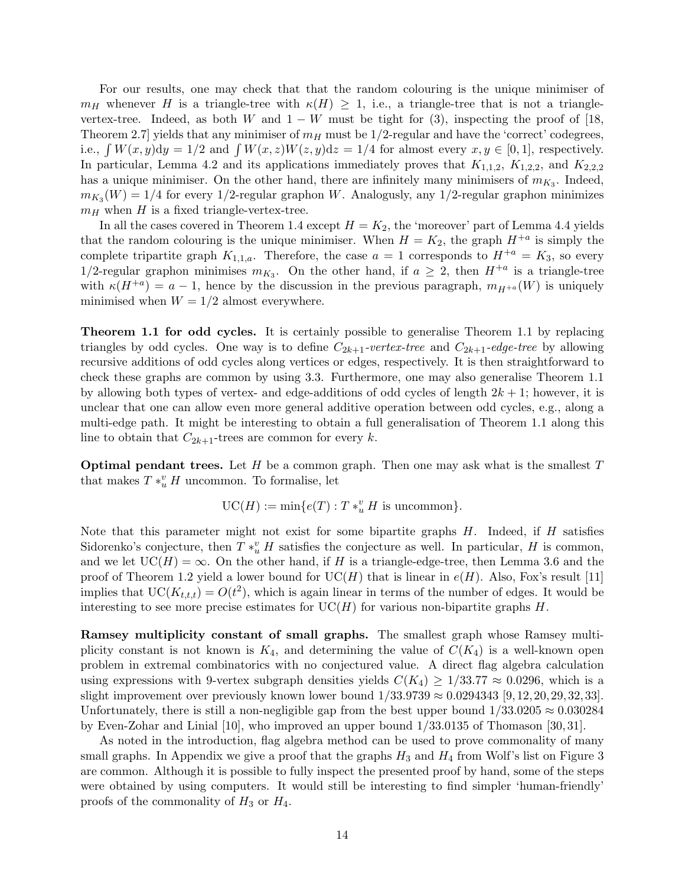For our results, one may check that that the random colouring is the unique minimiser of  $m_H$  whenever H is a triangle-tree with  $\kappa(H) \geq 1$ , i.e., a triangle-tree that is not a trianglevertex-tree. Indeed, as both W and  $1 - W$  must be tight for [\(3\)](#page-6-3), inspecting the proof of [\[18,](#page-15-11) Theorem 2.7] yields that any minimiser of  $m_H$  must be  $1/2$ -regular and have the 'correct' codegrees, i.e.,  $\int W(x, y) dy = 1/2$  and  $\int W(x, z)W(z, y) dz = 1/4$  for almost every  $x, y \in [0, 1]$ , respectively. In particular, Lemma [4.2](#page-9-3) and its applications immediately proves that  $K_{1,1,2}$ ,  $K_{1,2,2}$ , and  $K_{2,2,2}$ has a unique minimiser. On the other hand, there are infinitely many minimisers of  $m_{K_3}$ . Indeed,  $m_{K_3}(W) = 1/4$  for every 1/2-regular graphon W. Analogusly, any 1/2-regular graphon minimizes  $m_H$  when H is a fixed triangle-vertex-tree.

In all the cases covered in Theorem [1.4](#page-3-0) except  $H = K_2$ , the 'moreover' part of Lemma [4.4](#page-11-0) yields that the random colouring is the unique minimiser. When  $H = K_2$ , the graph  $H^{+a}$  is simply the complete tripartite graph  $K_{1,1,a}$ . Therefore, the case  $a = 1$  corresponds to  $H^{+a} = K_3$ , so every 1/2-regular graphon minimises  $m_{K_3}$ . On the other hand, if  $a \geq 2$ , then  $H^{+a}$  is a triangle-tree with  $\kappa(H^{+a}) = a - 1$ , hence by the discussion in the previous paragraph,  $m_{H^{+a}}(W)$  is uniquely minimised when  $W = 1/2$  almost everywhere.

Theorem [1.1](#page-1-2) for odd cycles. It is certainly possible to generalise Theorem [1.1](#page-1-2) by replacing triangles by odd cycles. One way is to define  $C_{2k+1}$ -vertex-tree and  $C_{2k+1}$ -edge-tree by allowing recursive additions of odd cycles along vertices or edges, respectively. It is then straightforward to check these graphs are common by using [3.3.](#page-6-0) Furthermore, one may also generalise Theorem [1.1](#page-1-2) by allowing both types of vertex- and edge-additions of odd cycles of length  $2k + 1$ ; however, it is unclear that one can allow even more general additive operation between odd cycles, e.g., along a multi-edge path. It might be interesting to obtain a full generalisation of Theorem [1.1](#page-1-2) along this line to obtain that  $C_{2k+1}$ -trees are common for every k.

**Optimal pendant trees.** Let  $H$  be a common graph. Then one may ask what is the smallest  $T$ that makes  $T *_u^v H$  uncommon. To formalise, let

$$
\mathrm{UC}(H):=\min\{e(T): T*_u^v H \text{ is uncommon}\}.
$$

Note that this parameter might not exist for some bipartite graphs  $H$ . Indeed, if  $H$  satisfies Sidorenko's conjecture, then  $T *_u^v H$  satisfies the conjecture as well. In particular, H is common, and we let  $UC(H) = \infty$ . On the other hand, if H is a triangle-edge-tree, then Lemma [3.6](#page-7-1) and the proof of Theorem [1.2](#page-2-1) yield a lower bound for  $UC(H)$  that is linear in  $e(H)$ . Also, Fox's result [\[11\]](#page-14-3) implies that  $UC(K_{t,t,t}) = O(t^2)$ , which is again linear in terms of the number of edges. It would be interesting to see more precise estimates for  $UC(H)$  for various non-bipartite graphs H.

Ramsey multiplicity constant of small graphs. The smallest graph whose Ramsey multiplicity constant is not known is  $K_4$ , and determining the value of  $C(K_4)$  is a well-known open problem in extremal combinatorics with no conjectured value. A direct flag algebra calculation using expressions with 9-vertex subgraph densities yields  $C(K_4) \geq 1/33.77 \approx 0.0296$ , which is a slight improvement over previously known lower bound  $1/33.9739 \approx 0.0294343$  [\[9,](#page-14-9) [12,](#page-14-10) [20,](#page-15-14) [29,](#page-15-15) [32,](#page-15-16) [33\]](#page-16-0). Unfortunately, there is still a non-negligible gap from the best upper bound  $1/33.0205 \approx 0.030284$ by Even-Zohar and Linial [\[10\]](#page-14-11), who improved an upper bound 1/33.0135 of Thomason [\[30,](#page-15-1) [31\]](#page-15-17).

As noted in the introduction, flag algebra method can be used to prove commonality of many small graphs. In Appendix we give a proof that the graphs  $H_3$  and  $H_4$  from Wolf's list on Figure [3](#page-2-0) are common. Although it is possible to fully inspect the presented proof by hand, some of the steps were obtained by using computers. It would still be interesting to find simpler 'human-friendly' proofs of the commonality of  $H_3$  or  $H_4$ .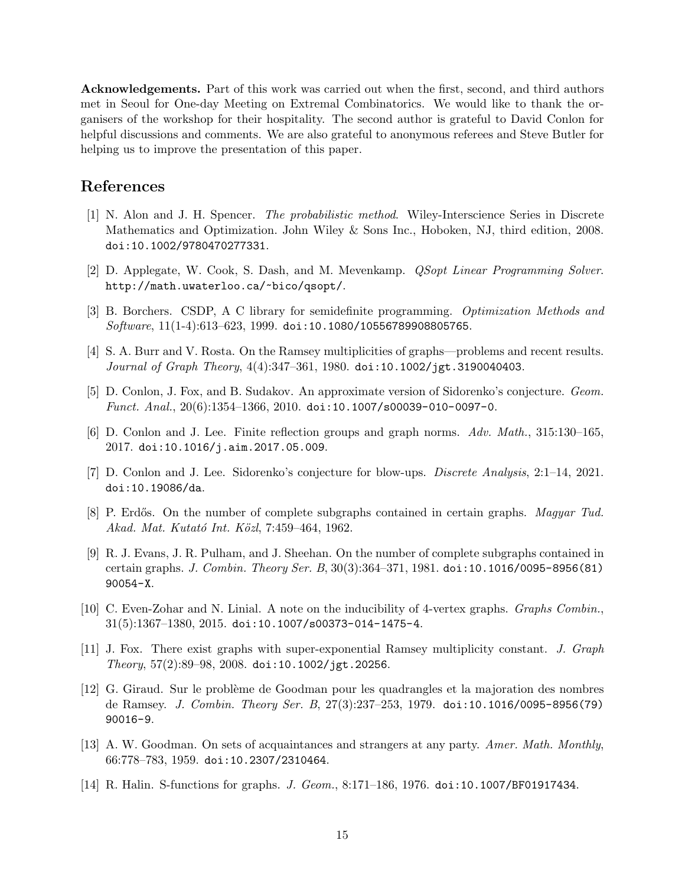Acknowledgements. Part of this work was carried out when the first, second, and third authors met in Seoul for One-day Meeting on Extremal Combinatorics. We would like to thank the organisers of the workshop for their hospitality. The second author is grateful to David Conlon for helpful discussions and comments. We are also grateful to anonymous referees and Steve Butler for helping us to improve the presentation of this paper.

## References

- <span id="page-14-5"></span>[1] N. Alon and J. H. Spencer. The probabilistic method. Wiley-Interscience Series in Discrete Mathematics and Optimization. John Wiley & Sons Inc., Hoboken, NJ, third edition, 2008. [doi:10.1002/9780470277331](https://doi.org/10.1002/9780470277331).
- <span id="page-14-13"></span>[2] D. Applegate, W. Cook, S. Dash, and M. Mevenkamp. QSopt Linear Programming Solver. <http://math.uwaterloo.ca/~bico/qsopt/>.
- <span id="page-14-12"></span>[3] B. Borchers. CSDP, A C library for semidefinite programming. Optimization Methods and Software, 11(1-4):613–623, 1999. [doi:10.1080/10556789908805765](https://doi.org/10.1080/10556789908805765).
- <span id="page-14-2"></span>[4] S. A. Burr and V. Rosta. On the Ramsey multiplicities of graphs—problems and recent results. Journal of Graph Theory, 4(4):347–361, 1980. [doi:10.1002/jgt.3190040403](https://doi.org/10.1002/jgt.3190040403).
- <span id="page-14-8"></span>[5] D. Conlon, J. Fox, and B. Sudakov. An approximate version of Sidorenko's conjecture. Geom. *Funct. Anal.*,  $20(6):1354-1366, 2010.$  [doi:10.1007/s00039-010-0097-0](https://doi.org/10.1007/s00039-010-0097-0).
- <span id="page-14-7"></span>[6] D. Conlon and J. Lee. Finite reflection groups and graph norms. Adv. Math., 315:130–165, 2017. [doi:10.1016/j.aim.2017.05.009](https://doi.org/10.1016/j.aim.2017.05.009).
- <span id="page-14-4"></span>[7] D. Conlon and J. Lee. Sidorenko's conjecture for blow-ups. Discrete Analysis, 2:1–14, 2021. [doi:10.19086/da](https://doi.org/10.19086/da).
- <span id="page-14-1"></span>[8] P. Erdős. On the number of complete subgraphs contained in certain graphs. Magyar Tud. Akad. Mat. Kutató Int. Közl, 7:459–464, 1962.
- <span id="page-14-9"></span>[9] R. J. Evans, J. R. Pulham, and J. Sheehan. On the number of complete subgraphs contained in certain graphs. J. Combin. Theory Ser. B, 30(3):364–371, 1981. [doi:10.1016/0095-8956\(81\)](https://doi.org/10.1016/0095-8956(81)90054-X) [90054-X](https://doi.org/10.1016/0095-8956(81)90054-X).
- <span id="page-14-11"></span>[10] C. Even-Zohar and N. Linial. A note on the inducibility of 4-vertex graphs. Graphs Combin.,  $31(5):1367-1380, 2015.$  [doi:10.1007/s00373-014-1475-4](https://doi.org/10.1007/s00373-014-1475-4).
- <span id="page-14-3"></span>[11] J. Fox. There exist graphs with super-exponential Ramsey multiplicity constant. J. Graph  $Theory, 57(2):89-98, 2008.$  [doi:10.1002/jgt.20256](https://doi.org/10.1002/jgt.20256).
- <span id="page-14-10"></span>[12] G. Giraud. Sur le problème de Goodman pour les quadrangles et la majoration des nombres de Ramsey. J. Combin. Theory Ser. B, 27(3):237–253, 1979. [doi:10.1016/0095-8956\(79\)](https://doi.org/10.1016/0095-8956(79)90016-9) [90016-9](https://doi.org/10.1016/0095-8956(79)90016-9).
- <span id="page-14-0"></span>[13] A. W. Goodman. On sets of acquaintances and strangers at any party. Amer. Math. Monthly, 66:778–783, 1959. [doi:10.2307/2310464](https://doi.org/10.2307/2310464).
- <span id="page-14-6"></span>[14] R. Halin. S-functions for graphs. *J. Geom.*, 8:171–186, 1976. [doi:10.1007/BF01917434](https://doi.org/10.1007/BF01917434).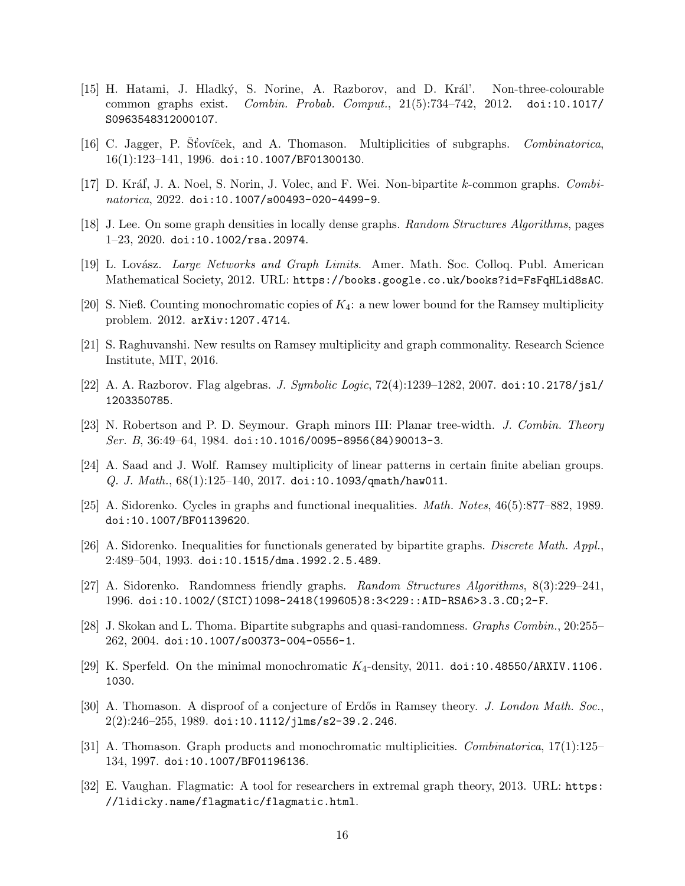- <span id="page-15-5"></span>[15] H. Hatami, J. Hladký, S. Norine, A. Razborov, and D. Král'. Non-three-colourable common graphs exist. Combin. Probab. Comput., 21(5):734–742, 2012. [doi:10.1017/](https://doi.org/10.1017/S0963548312000107) [S0963548312000107](https://doi.org/10.1017/S0963548312000107).
- <span id="page-15-2"></span>[16] C. Jagger, P. Stoviček, and A. Thomason. Multiplicities of subgraphs. *Combinatorica*, 16(1):123–141, 1996. [doi:10.1007/BF01300130](https://doi.org/10.1007/BF01300130).
- <span id="page-15-4"></span>[17] D. Kráľ, J. A. Noel, S. Norin, J. Volec, and F. Wei. Non-bipartite k-common graphs. Combinatorica, 2022. [doi:10.1007/s00493-020-4499-9](https://doi.org/10.1007/s00493-020-4499-9).
- <span id="page-15-11"></span>[18] J. Lee. On some graph densities in locally dense graphs. Random Structures Algorithms, pages 1–23, 2020. [doi:10.1002/rsa.20974](https://doi.org/10.1002/rsa.20974).
- <span id="page-15-9"></span>[19] L. Lovász. *Large Networks and Graph Limits.* Amer. Math. Soc. Colloq. Publ. American Mathematical Society, 2012. URL: <https://books.google.co.uk/books?id=FsFqHLid8sAC>.
- <span id="page-15-14"></span>[20] S. Nieß. Counting monochromatic copies of  $K_4$ : a new lower bound for the Ramsey multiplicity problem. 2012. [arXiv:1207.4714](http://arxiv.org/abs/1207.4714).
- <span id="page-15-8"></span>[21] S. Raghuvanshi. New results on Ramsey multiplicity and graph commonality. Research Science Institute, MIT, 2016.
- <span id="page-15-12"></span>[22] A. A. Razborov. Flag algebras. J. Symbolic Logic, 72(4):1239–1282, 2007. [doi:10.2178/jsl/](https://doi.org/10.2178/jsl/1203350785) [1203350785](https://doi.org/10.2178/jsl/1203350785).
- <span id="page-15-10"></span>[23] N. Robertson and P. D. Seymour. Graph minors III: Planar tree-width. J. Combin. Theory Ser. B, 36:49-64, 1984. [doi:10.1016/0095-8956\(84\)90013-3](https://doi.org/10.1016/0095-8956(84)90013-3).
- <span id="page-15-7"></span>[24] A. Saad and J. Wolf. Ramsey multiplicity of linear patterns in certain finite abelian groups.  $Q. J. Math., 68(1):125–140, 2017. doi:10.1093/quanth/haw011.$
- <span id="page-15-0"></span>[25] A. Sidorenko. Cycles in graphs and functional inequalities. Math. Notes, 46(5):877–882, 1989. [doi:10.1007/BF01139620](https://doi.org/10.1007/BF01139620).
- <span id="page-15-3"></span>[26] A. Sidorenko. Inequalities for functionals generated by bipartite graphs. Discrete Math. Appl., 2:489–504, 1993. [doi:10.1515/dma.1992.2.5.489](https://doi.org/10.1515/dma.1992.2.5.489).
- <span id="page-15-6"></span>[27] A. Sidorenko. Randomness friendly graphs. Random Structures Algorithms, 8(3):229–241, 1996. [doi:10.1002/\(SICI\)1098-2418\(199605\)8:3<229::AID-RSA6>3.3.CO;2-F](https://doi.org/10.1002/(SICI)1098-2418(199605)8:3<229::AID-RSA6>3.3.CO;2-F).
- <span id="page-15-13"></span>[28] J. Skokan and L. Thoma. Bipartite subgraphs and quasi-randomness. Graphs Combin., 20:255– 262, 2004. [doi:10.1007/s00373-004-0556-1](https://doi.org/10.1007/s00373-004-0556-1).
- <span id="page-15-15"></span>[29] K. Sperfeld. On the minimal monochromatic  $K_4$ -density, 2011. [doi:10.48550/ARXIV.1106.](https://doi.org/10.48550/ARXIV.1106.1030) [1030](https://doi.org/10.48550/ARXIV.1106.1030).
- <span id="page-15-1"></span>[30] A. Thomason. A disproof of a conjecture of Erdős in Ramsey theory. J. London Math. Soc.,  $2(2):246-255$ , 1989. [doi:10.1112/jlms/s2-39.2.246](https://doi.org/10.1112/jlms/s2-39.2.246).
- <span id="page-15-17"></span>[31] A. Thomason. Graph products and monochromatic multiplicities. Combinatorica, 17(1):125– 134, 1997. [doi:10.1007/BF01196136](https://doi.org/10.1007/BF01196136).
- <span id="page-15-16"></span>[32] E. Vaughan. Flagmatic: A tool for researchers in extremal graph theory, 2013. URL: [https:](https://lidicky.name/flagmatic/flagmatic.html) [//lidicky.name/flagmatic/flagmatic.html](https://lidicky.name/flagmatic/flagmatic.html).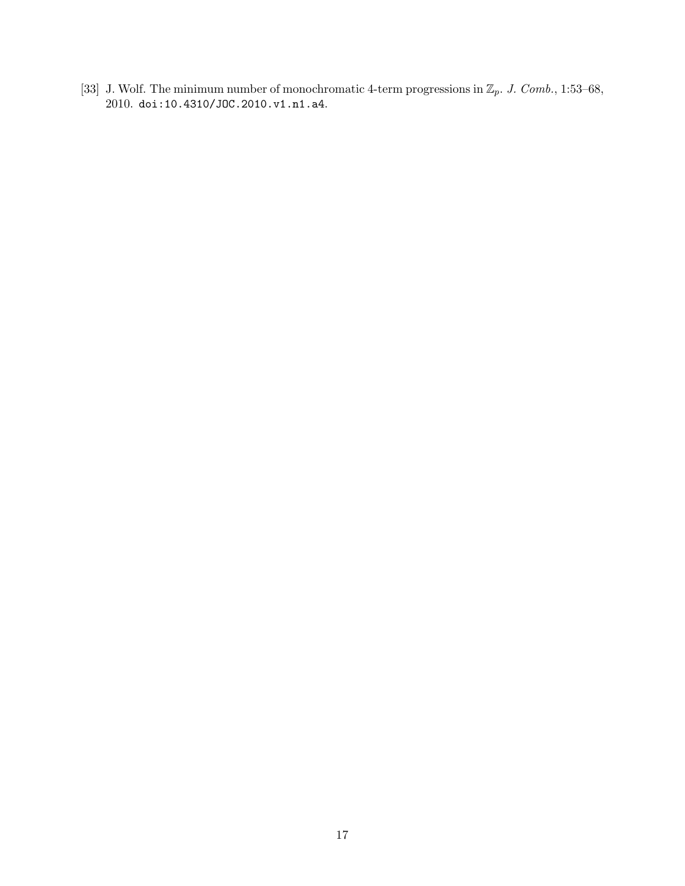<span id="page-16-0"></span>[33] J. Wolf. The minimum number of monochromatic 4-term progressions in  $\mathbb{Z}_p$ . J. Comb., 1:53–68, 2010. [doi:10.4310/JOC.2010.v1.n1.a4](https://doi.org/10.4310/JOC.2010.v1.n1.a4).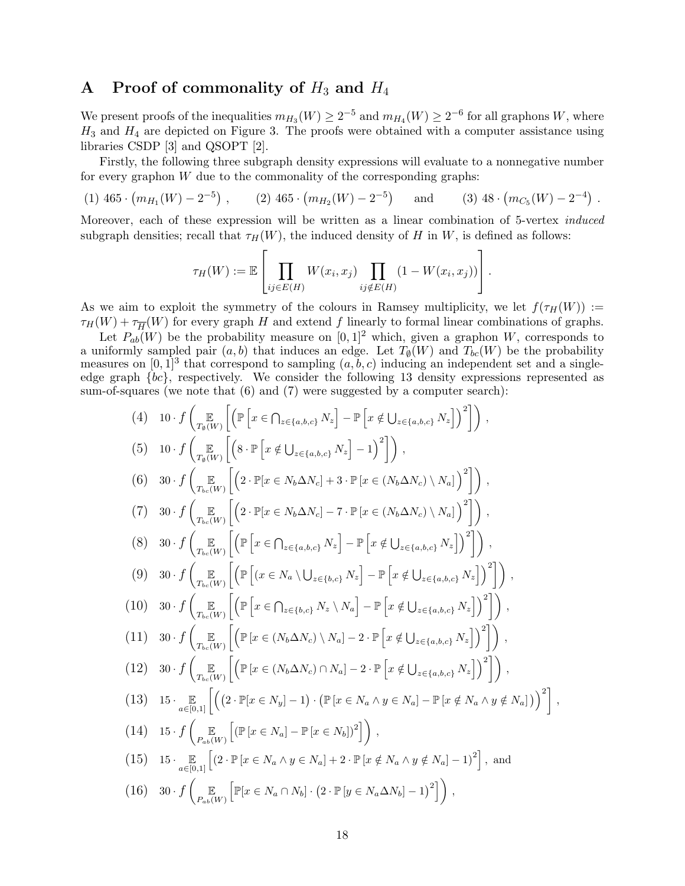### A Proof of commonality of  $H_3$  and  $H_4$

We present proofs of the inequalities  $m_{H_3}(W) \ge 2^{-5}$  and  $m_{H_4}(W) \ge 2^{-6}$  for all graphons W, where  $H_3$  and  $H_4$  are depicted on Figure [3.](#page-2-0) The proofs were obtained with a computer assistance using libraries CSDP [\[3\]](#page-14-12) and QSOPT [\[2\]](#page-14-13).

Firstly, the following three subgraph density expressions will evaluate to a nonnegative number for every graphon  $W$  due to the commonality of the corresponding graphs:

(1)  $465 \cdot (m_{H_1}(W) - 2^{-5})$ , (2)  $465 \cdot (m_{H_2}(W) - 2^{-5})$ and (3)  $48 \cdot (m_{C_5}(W) - 2^{-4})$ .

Moreover, each of these expression will be written as a linear combination of 5-vertex induced subgraph densities; recall that  $\tau_H(W)$ , the induced density of H in W, is defined as follows:

$$
\tau_H(W) := \mathbb{E}\left[\prod_{ij \in E(H)} W(x_i, x_j) \prod_{ij \notin E(H)} (1 - W(x_i, x_j))\right].
$$

As we aim to exploit the symmetry of the colours in Ramsey multiplicity, we let  $f(\tau_H(W)) :=$  $\tau_H(W) + \tau_{\overline{H}}(W)$  for every graph H and extend f linearly to formal linear combinations of graphs.

Let  $P_{ab}(W)$  be the probability measure on  $[0, 1]^2$  which, given a graphon W, corresponds to a uniformly sampled pair  $(a, b)$  that induces an edge. Let  $T_{\emptyset}(W)$  and  $T_{bc}(W)$  be the probability measures on  $[0,1]^3$  that correspond to sampling  $(a, b, c)$  inducing an independent set and a singleedge graph {bc}, respectively. We consider the following 13 density expressions represented as sum-of-squares (we note that  $(6)$  and  $(7)$  were suggested by a computer search):

$$
(4) \quad 10 \cdot f \left(\underset{T_0(W)}{\mathbb{E}}\left[\left(\mathbb{P}\left[x \in \bigcap_{z \in \{a,b,c\}} N_z\right] - \mathbb{P}\left[x \notin \bigcup_{z \in \{a,b,c\}} N_z\right]\right)^2\right]\right),
$$
\n
$$
(5) \quad 10 \cdot f \left(\underset{T_0(W)}{\mathbb{E}}\left[\left(8 \cdot \mathbb{P}\left[x \notin \bigcup_{z \in \{a,b,c\}} N_z\right] - 1\right)^2\right]\right),
$$
\n
$$
(6) \quad 30 \cdot f \left(\underset{T_{bc}(W)}{\mathbb{E}}\left[\left(2 \cdot \mathbb{P}[x \in N_b \Delta N_c] + 3 \cdot \mathbb{P}\left[x \in (N_b \Delta N_c) \setminus N_a\right]\right)^2\right]\right),
$$
\n
$$
(7) \quad 30 \cdot f \left(\underset{T_{bc}(W)}{\mathbb{E}}\left[\left(2 \cdot \mathbb{P}[x \in N_b \Delta N_c] - 7 \cdot \mathbb{P}\left[x \in (N_b \Delta N_c) \setminus N_a\right]\right)^2\right]\right),
$$
\n
$$
(8) \quad 30 \cdot f \left(\underset{T_{bc}(W)}{\mathbb{E}}\left[\left(\mathbb{P}\left[x \in \bigcap_{z \in \{a,b,c\}} N_z\right] - \mathbb{P}\left[x \notin \bigcup_{z \in \{a,b,c\}} N_z\right]\right)^2\right]\right),
$$
\n
$$
(9) \quad 30 \cdot f \left(\underset{T_{bc}(W)}{\mathbb{E}}\left[\left(\mathbb{P}\left[x \in \bigcap_{z \in \{b,c\}} N_z \setminus N_a\right] - \mathbb{P}\left[x \notin \bigcup_{z \in \{a,b,c\}} N_z\right]\right)^2\right]\right),
$$
\n
$$
(10) \quad 30 \cdot f \left(\underset{T_{bc}(W)}{\mathbb{E}}\left[\left(\mathbb{P}\left[x \in (N_b \Delta N_c) \setminus N_a\right] - 2 \cdot \mathbb{P}\left[x \notin \bigcup_{z \in \{a,b,c\}} N_z\right]\right)^2\right]\right),
$$
\n
$$
(11) \quad 30 \cdot f \left(\underset{T_{bc}(W)}{\mathbb{E}}\left[\left(\mathbb{P
$$